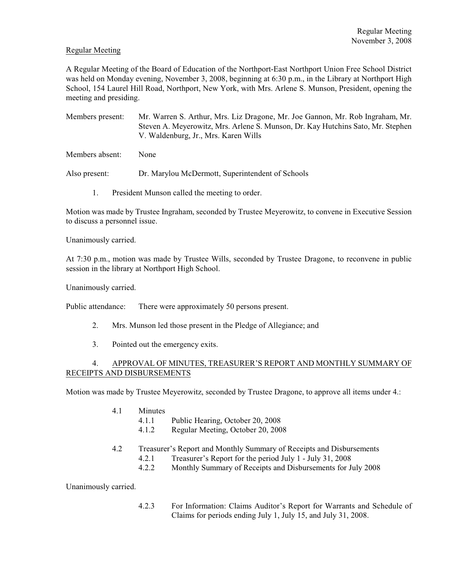### Regular Meeting

A Regular Meeting of the Board of Education of the Northport-East Northport Union Free School District was held on Monday evening, November 3, 2008, beginning at 6:30 p.m., in the Library at Northport High School, 154 Laurel Hill Road, Northport, New York, with Mrs. Arlene S. Munson, President, opening the meeting and presiding.

Members present: Mr. Warren S. Arthur, Mrs. Liz Dragone, Mr. Joe Gannon, Mr. Rob Ingraham, Mr. Steven A. Meyerowitz, Mrs. Arlene S. Munson, Dr. Kay Hutchins Sato, Mr. Stephen V. Waldenburg, Jr., Mrs. Karen Wills

Members absent: None

Also present: Dr. Marylou McDermott, Superintendent of Schools

1. President Munson called the meeting to order.

Motion was made by Trustee Ingraham, seconded by Trustee Meyerowitz, to convene in Executive Session to discuss a personnel issue.

Unanimously carried.

At 7:30 p.m., motion was made by Trustee Wills, seconded by Trustee Dragone, to reconvene in public session in the library at Northport High School.

Unanimously carried.

Public attendance: There were approximately 50 persons present.

- 2. Mrs. Munson led those present in the Pledge of Allegiance; and
- 3. Pointed out the emergency exits.

## 4. APPROVAL OF MINUTES, TREASURER'S REPORT AND MONTHLY SUMMARY OF RECEIPTS AND DISBURSEMENTS

Motion was made by Trustee Meyerowitz, seconded by Trustee Dragone, to approve all items under 4.:

- 4.1 Minutes
	- 4.1.1 Public Hearing, October 20, 2008
	- 4.1.2 Regular Meeting, October 20, 2008
- 4.2 Treasurer's Report and Monthly Summary of Receipts and Disbursements
	- 4.2.1 Treasurer's Report for the period July 1 July 31, 2008
	- 4.2.2 Monthly Summary of Receipts and Disbursements for July 2008

Unanimously carried.

4.2.3 For Information: Claims Auditor's Report for Warrants and Schedule of Claims for periods ending July 1, July 15, and July 31, 2008.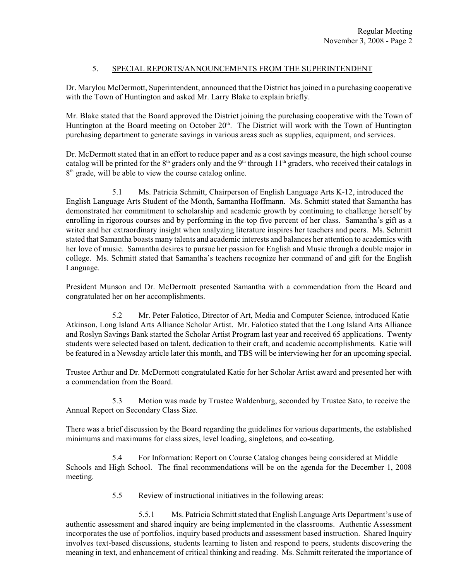# 5. SPECIAL REPORTS/ANNOUNCEMENTS FROM THE SUPERINTENDENT

Dr. Marylou McDermott, Superintendent, announced that the District has joined in a purchasing cooperative with the Town of Huntington and asked Mr. Larry Blake to explain briefly.

Mr. Blake stated that the Board approved the District joining the purchasing cooperative with the Town of Huntington at the Board meeting on October  $20<sup>th</sup>$ . The District will work with the Town of Huntington purchasing department to generate savings in various areas such as supplies, equipment, and services.

Dr. McDermott stated that in an effort to reduce paper and as a cost savings measure, the high school course catalog will be printed for the  $8<sup>th</sup>$  graders only and the  $9<sup>th</sup>$  through 11<sup>th</sup> graders, who received their catalogs in  $8<sup>th</sup>$  grade, will be able to view the course catalog online.

5.1 Ms. Patricia Schmitt, Chairperson of English Language Arts K-12, introduced the English Language Arts Student of the Month, Samantha Hoffmann. Ms. Schmitt stated that Samantha has demonstrated her commitment to scholarship and academic growth by continuing to challenge herself by enrolling in rigorous courses and by performing in the top five percent of her class. Samantha's gift as a writer and her extraordinary insight when analyzing literature inspires her teachers and peers. Ms. Schmitt stated that Samantha boasts many talents and academic interests and balances her attention to academics with her love of music. Samantha desires to pursue her passion for English and Music through a double major in college. Ms. Schmitt stated that Samantha's teachers recognize her command of and gift for the English Language.

President Munson and Dr. McDermott presented Samantha with a commendation from the Board and congratulated her on her accomplishments.

5.2 Mr. Peter Falotico, Director of Art, Media and Computer Science, introduced Katie Atkinson, Long Island Arts Alliance Scholar Artist. Mr. Falotico stated that the Long Island Arts Alliance and Roslyn Savings Bank started the Scholar Artist Program last year and received 65 applications. Twenty students were selected based on talent, dedication to their craft, and academic accomplishments. Katie will be featured in a Newsday article later this month, and TBS will be interviewing her for an upcoming special.

Trustee Arthur and Dr. McDermott congratulated Katie for her Scholar Artist award and presented her with a commendation from the Board.

5.3 Motion was made by Trustee Waldenburg, seconded by Trustee Sato, to receive the Annual Report on Secondary Class Size.

There was a brief discussion by the Board regarding the guidelines for various departments, the established minimums and maximums for class sizes, level loading, singletons, and co-seating.

5.4 For Information: Report on Course Catalog changes being considered at Middle Schools and High School. The final recommendations will be on the agenda for the December 1, 2008 meeting.

5.5 Review of instructional initiatives in the following areas:

5.5.1 Ms. Patricia Schmitt stated that English Language Arts Department's use of authentic assessment and shared inquiry are being implemented in the classrooms. Authentic Assessment incorporates the use of portfolios, inquiry based products and assessment based instruction. Shared Inquiry involves text-based discussions, students learning to listen and respond to peers, students discovering the meaning in text, and enhancement of critical thinking and reading. Ms. Schmitt reiterated the importance of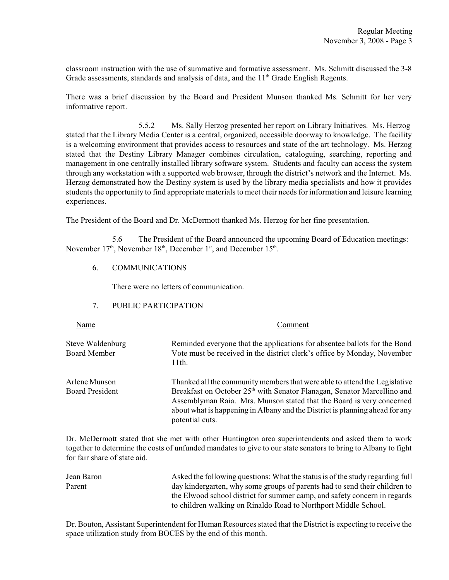classroom instruction with the use of summative and formative assessment. Ms. Schmitt discussed the 3-8 Grade assessments, standards and analysis of data, and the  $11<sup>th</sup>$  Grade English Regents.

There was a brief discussion by the Board and President Munson thanked Ms. Schmitt for her very informative report.

5.5.2 Ms. Sally Herzog presented her report on Library Initiatives. Ms. Herzog stated that the Library Media Center is a central, organized, accessible doorway to knowledge. The facility is a welcoming environment that provides access to resources and state of the art technology. Ms. Herzog stated that the Destiny Library Manager combines circulation, cataloguing, searching, reporting and management in one centrally installed library software system. Students and faculty can access the system through any workstation with a supported web browser, through the district's network and the Internet. Ms. Herzog demonstrated how the Destiny system is used by the library media specialists and how it provides students the opportunity to find appropriate materials to meet their needs for information and leisure learning experiences.

The President of the Board and Dr. McDermott thanked Ms. Herzog for her fine presentation.

5.6 The President of the Board announced the upcoming Board of Education meetings: November  $17<sup>th</sup>$ , November  $18<sup>th</sup>$ , December  $1<sup>st</sup>$ , and December  $15<sup>th</sup>$ .

### 6. COMMUNICATIONS

There were no letters of communication.

# 7. PUBLIC PARTICIPATION

Name Comment

Steve Waldenburg Reminded everyone that the applications for absentee ballots for the Bond<br>Board Member Vote must be received in the district clerk's office by Monday. November Vote must be received in the district clerk's office by Monday, November 11th.

Arlene Munson Thanked all the community members that were able to attend the Legislative Board President Breakfast on October 25<sup>th</sup> with Senator Flanagan, Senator Marcellino and Assemblyman Raia. Mrs. Munson stated that the Board is very concerned about what is happening in Albany and the District is planning ahead for any potential cuts.

Dr. McDermott stated that she met with other Huntington area superintendents and asked them to work together to determine the costs of unfunded mandates to give to our state senators to bring to Albany to fight for fair share of state aid.

Jean Baron Asked the following questions: What the statusis of the study regarding full Parent day kindergarten, why some groups of parents had to send their children to the Elwood school district for summer camp, and safety concern in regards to children walking on Rinaldo Road to Northport Middle School.

Dr. Bouton, Assistant Superintendent for Human Resources stated that the District is expecting to receive the space utilization study from BOCES by the end of this month.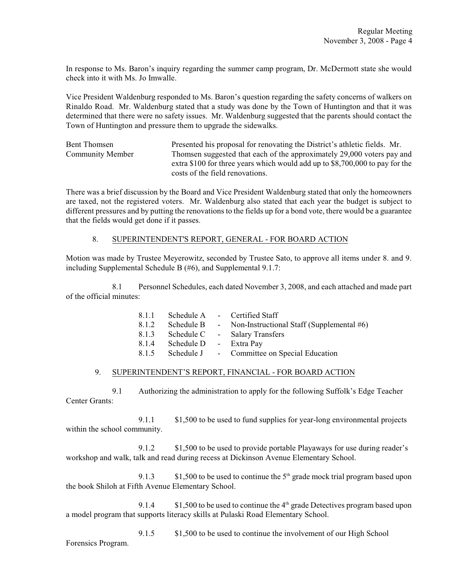In response to Ms. Baron's inquiry regarding the summer camp program, Dr. McDermott state she would check into it with Ms. Jo Imwalle.

Vice President Waldenburg responded to Ms. Baron's question regarding the safety concerns of walkers on Rinaldo Road. Mr. Waldenburg stated that a study was done by the Town of Huntington and that it was determined that there were no safety issues. Mr. Waldenburg suggested that the parents should contact the Town of Huntington and pressure them to upgrade the sidewalks.

Bent Thomsen Presented his proposal for renovating the District's athletic fields. Mr. Community Member Thomsen suggested that each of the approximately 29,000 voters pay and extra \$100 for three years which would add up to \$8,700,000 to pay for the costs of the field renovations.

There was a brief discussion by the Board and Vice President Waldenburg stated that only the homeowners are taxed, not the registered voters. Mr. Waldenburg also stated that each year the budget is subject to different pressures and by putting the renovations to the fields up for a bond vote, there would be a guarantee that the fields would get done if it passes.

### 8. SUPERINTENDENT'S REPORT, GENERAL - FOR BOARD ACTION

Motion was made by Trustee Meyerowitz, seconded by Trustee Sato, to approve all items under 8. and 9. including Supplemental Schedule B (#6), and Supplemental 9.1.7:

8.1 Personnel Schedules, each dated November 3, 2008, and each attached and made part of the official minutes:

| 8.1.1 |            | Schedule A - Certified Staff                |
|-------|------------|---------------------------------------------|
| 8.1.2 | Schedule B | - Non-Instructional Staff (Supplemental #6) |
| 8.1.3 |            | Schedule C - Salary Transfers               |
| 8.1.4 | Schedule D | - Extra Pay                                 |
| 8.1.5 |            | Schedule J - Committee on Special Education |

#### 9. SUPERINTENDENT'S REPORT, FINANCIAL - FOR BOARD ACTION

9.1 Authorizing the administration to apply for the following Suffolk's Edge Teacher Center Grants:

9.1.1 \$1,500 to be used to fund supplies for year-long environmental projects within the school community.

9.1.2 \$1,500 to be used to provide portable Playaways for use during reader's workshop and walk, talk and read during recess at Dickinson Avenue Elementary School.

9.1.3  $$1,500$  to be used to continue the  $5<sup>th</sup>$  grade mock trial program based upon the book Shiloh at Fifth Avenue Elementary School.

9.1.4  $$1,500$  to be used to continue the  $4<sup>th</sup>$  grade Detectives program based upon a model program that supports literacy skills at Pulaski Road Elementary School.

9.1.5 \$1,500 to be used to continue the involvement of our High School Forensics Program.